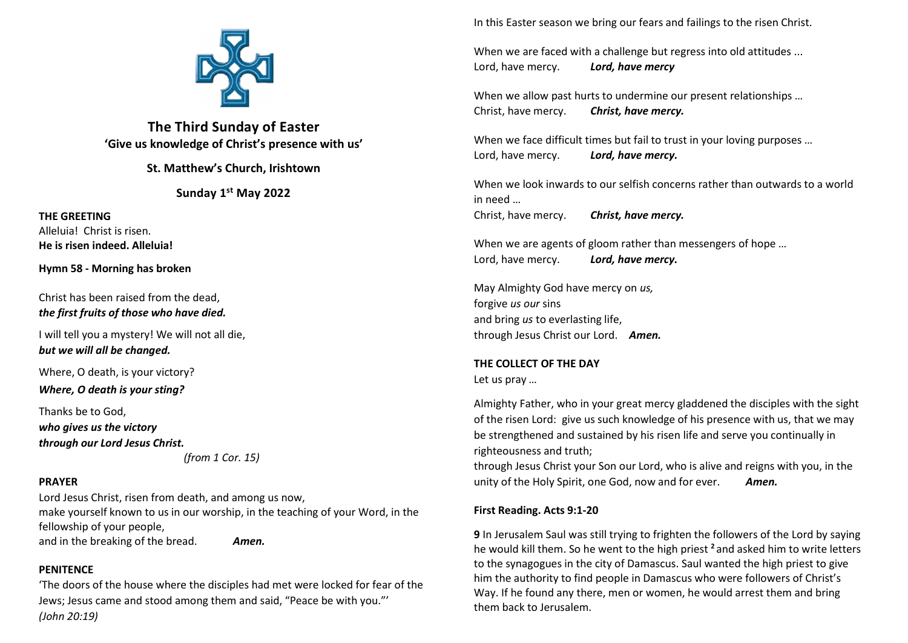

The Third Sunday of Easter 'Give us knowledge of Christ's presence with us'

St. Matthew's Church, Irishtown

Sunday 1st May 2022

THE GREETING Alleluia! Christ is risen. He is risen indeed. Alleluia!

Hymn 58 - Morning has broken

Christ has been raised from the dead, the first fruits of those who have died.

I will tell you a mystery! We will not all die, but we will all be changed.

Where, O death, is your victory?

Where, O death is your sting?

Thanks be to God, who gives us the victory through our Lord Jesus Christ.

(from 1 Cor. 15)

## PRAYER

Lord Jesus Christ, risen from death, and among us now, make yourself known to us in our worship, in the teaching of your Word, in the fellowship of your people, and in the breaking of the bread. Amen.

## **PENITENCE**

'The doors of the house where the disciples had met were locked for fear of the Jews; Jesus came and stood among them and said, "Peace be with you."' (John 20:19)

In this Easter season we bring our fears and failings to the risen Christ.

When we are faced with a challenge but regress into old attitudes ... Lord, have mercy. Lord, have mercy

When we allow past hurts to undermine our present relationships ... Christ, have mercy. Christ, have mercy.

When we face difficult times but fail to trust in your loving purposes ... Lord, have mercy. Lord, have mercy.

When we look inwards to our selfish concerns rather than outwards to a world in need …

Christ, have mercy. Christ, have mercy.

When we are agents of gloom rather than messengers of hope ... Lord, have mercy. Lord, have mercy.

May Almighty God have mercy on us, forgive us our sins and bring us to everlasting life. through Jesus Christ our Lord. Amen.

# THE COLLECT OF THE DAY

Let us pray …

Almighty Father, who in your great mercy gladdened the disciples with the sight of the risen Lord: give us such knowledge of his presence with us, that we may be strengthened and sustained by his risen life and serve you continually in righteousness and truth;

through Jesus Christ your Son our Lord, who is alive and reigns with you, in the unity of the Holy Spirit, one God, now and for ever. Amen.

## First Reading. Acts 9:1-20

9 In Jerusalem Saul was still trying to frighten the followers of the Lord by saying he would kill them. So he went to the high priest <sup>2</sup> and asked him to write letters to the synagogues in the city of Damascus. Saul wanted the high priest to give him the authority to find people in Damascus who were followers of Christ's Way. If he found any there, men or women, he would arrest them and bring them back to Jerusalem.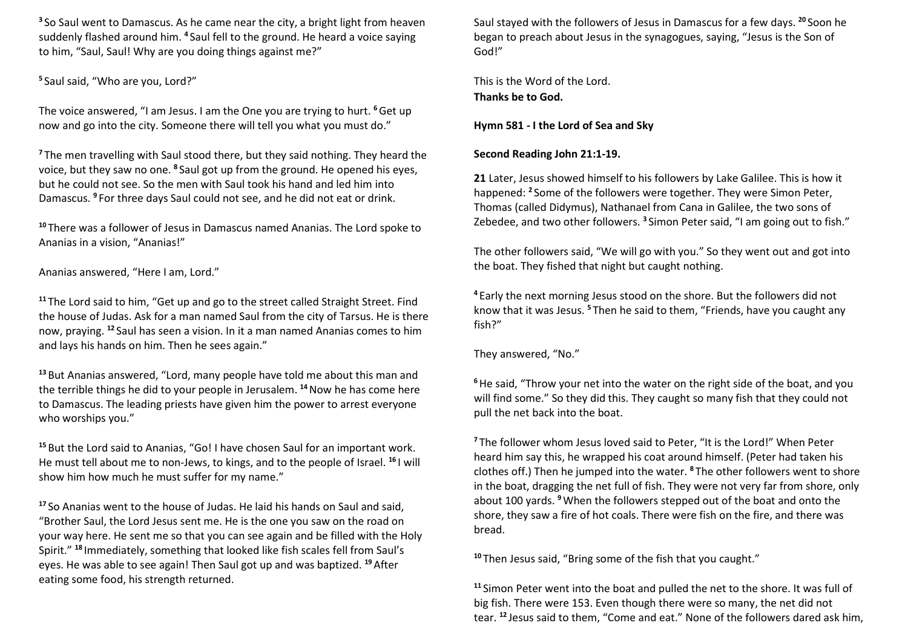<sup>3</sup> So Saul went to Damascus. As he came near the city, a bright light from heaven suddenly flashed around him. <sup>4</sup> Saul fell to the ground. He heard a voice saying to him, "Saul, Saul! Why are you doing things against me?"

<sup>5</sup> Saul said, "Who are you, Lord?"

The voice answered, "I am Jesus. I am the One you are trying to hurt. <sup>6</sup> Get up now and go into the city. Someone there will tell you what you must do."

<sup>7</sup>The men travelling with Saul stood there, but they said nothing. They heard the voice, but they saw no one. <sup>8</sup>Saul got up from the ground. He opened his eyes, but he could not see. So the men with Saul took his hand and led him into Damascus. <sup>9</sup> For three days Saul could not see, and he did not eat or drink.

<sup>10</sup>There was a follower of Jesus in Damascus named Ananias. The Lord spoke to Ananias in a vision, "Ananias!"

Ananias answered, "Here I am, Lord."

<sup>11</sup> The Lord said to him, "Get up and go to the street called Straight Street. Find the house of Judas. Ask for a man named Saul from the city of Tarsus. He is there now, praying. <sup>12</sup>Saul has seen a vision. In it a man named Ananias comes to him and lays his hands on him. Then he sees again."

<sup>13</sup> But Ananias answered, "Lord, many people have told me about this man and the terrible things he did to your people in Jerusalem.<sup>14</sup> Now he has come here to Damascus. The leading priests have given him the power to arrest everyone who worships you."

<sup>15</sup> But the Lord said to Ananias, "Go! I have chosen Saul for an important work. He must tell about me to non-Jews, to kings, and to the people of Israel. <sup>16</sup>I will show him how much he must suffer for my name."

<sup>17</sup> So Ananias went to the house of Judas. He laid his hands on Saul and said, "Brother Saul, the Lord Jesus sent me. He is the one you saw on the road on your way here. He sent me so that you can see again and be filled with the Holy Spirit." <sup>18</sup> Immediately, something that looked like fish scales fell from Saul's eyes. He was able to see again! Then Saul got up and was baptized. <sup>19</sup> After eating some food, his strength returned.

Saul stayed with the followers of Jesus in Damascus for a few days. <sup>20</sup> Soon he began to preach about Jesus in the synagogues, saying, "Jesus is the Son of God!"

This is the Word of the Lord. Thanks be to God.

Hymn 581 - I the Lord of Sea and Sky

## Second Reading John 21:1-19.

21 Later, Jesus showed himself to his followers by Lake Galilee. This is how it happened: <sup>2</sup> Some of the followers were together. They were Simon Peter, Thomas (called Didymus), Nathanael from Cana in Galilee, the two sons of Zebedee, and two other followers.<sup>3</sup> Simon Peter said, "I am going out to fish."

The other followers said, "We will go with you." So they went out and got into the boat. They fished that night but caught nothing.

<sup>4</sup>Early the next morning Jesus stood on the shore. But the followers did not know that it was Jesus.<sup>5</sup> Then he said to them, "Friends, have you caught any fish?"

They answered, "No."

<sup>6</sup> He said, "Throw your net into the water on the right side of the boat, and you will find some." So they did this. They caught so many fish that they could not pull the net back into the boat.

<sup>7</sup>The follower whom Jesus loved said to Peter, "It is the Lord!" When Peter heard him say this, he wrapped his coat around himself. (Peter had taken his clothes off.) Then he jumped into the water. <sup>8</sup>The other followers went to shore in the boat, dragging the net full of fish. They were not very far from shore, only about 100 yards. <sup>9</sup>When the followers stepped out of the boat and onto the shore, they saw a fire of hot coals. There were fish on the fire, and there was bread.

<sup>10</sup>Then Jesus said, "Bring some of the fish that you caught."

<sup>11</sup> Simon Peter went into the boat and pulled the net to the shore. It was full of big fish. There were 153. Even though there were so many, the net did not tear. 12 Jesus said to them, "Come and eat." None of the followers dared ask him,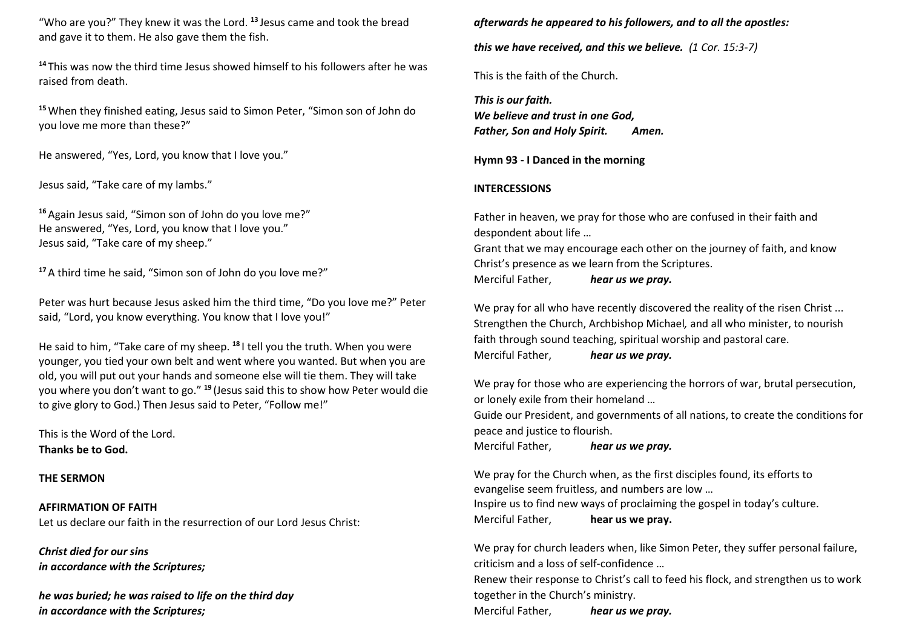"Who are you?" They knew it was the Lord.  $13$  Jesus came and took the bread and gave it to them. He also gave them the fish.

<sup>14</sup>This was now the third time Jesus showed himself to his followers after he was raised from death.

<sup>15</sup> When they finished eating, Jesus said to Simon Peter, "Simon son of John do you love me more than these?"

He answered, "Yes, Lord, you know that I love you."

Jesus said, "Take care of my lambs."

<sup>16</sup> Again Jesus said, "Simon son of John do you love me?" He answered, "Yes, Lord, you know that I love you." Jesus said, "Take care of my sheep."

<sup>17</sup> A third time he said, "Simon son of John do you love me?"

Peter was hurt because Jesus asked him the third time, "Do you love me?" Peter said, "Lord, you know everything. You know that I love you!"

He said to him, "Take care of my sheep. <sup>18</sup>I tell you the truth. When you were younger, you tied your own belt and went where you wanted. But when you are old, you will put out your hands and someone else will tie them. They will take you where you don't want to go." <sup>19</sup>(Jesus said this to show how Peter would die to give glory to God.) Then Jesus said to Peter, "Follow me!"

This is the Word of the Lord. Thanks be to God.

#### THE SERMON

AFFIRMATION OF FAITH Let us declare our faith in the resurrection of our Lord Jesus Christ:

Christ died for our sins in accordance with the Scriptures;

he was buried; he was raised to life on the third day in accordance with the Scriptures;

afterwards he appeared to his followers, and to all the apostles:

this we have received, and this we believe. (1 Cor. 15:3-7)

This is the faith of the Church.

This is our faith. We believe and trust in one God. Father, Son and Holy Spirit. Amen.

Hymn 93 - I Danced in the morning

#### INTERCESSIONS

Father in heaven, we pray for those who are confused in their faith and despondent about life …

Grant that we may encourage each other on the journey of faith, and know Christ's presence as we learn from the Scriptures. Merciful Father, hear us we pray.

We pray for all who have recently discovered the reality of the risen Christ ... Strengthen the Church, Archbishop Michael, and all who minister, to nourish faith through sound teaching, spiritual worship and pastoral care. Merciful Father. hear us we pray.

We pray for those who are experiencing the horrors of war, brutal persecution, or lonely exile from their homeland …

Guide our President, and governments of all nations, to create the conditions for peace and justice to flourish.

Merciful Father, hear us we pray.

We pray for the Church when, as the first disciples found, its efforts to evangelise seem fruitless, and numbers are low … Inspire us to find new ways of proclaiming the gospel in today's culture. Merciful Father, hear us we pray.

We pray for church leaders when, like Simon Peter, they suffer personal failure, criticism and a loss of self-confidence …

Renew their response to Christ's call to feed his flock, and strengthen us to work together in the Church's ministry.

Merciful Father. hear us we pray.